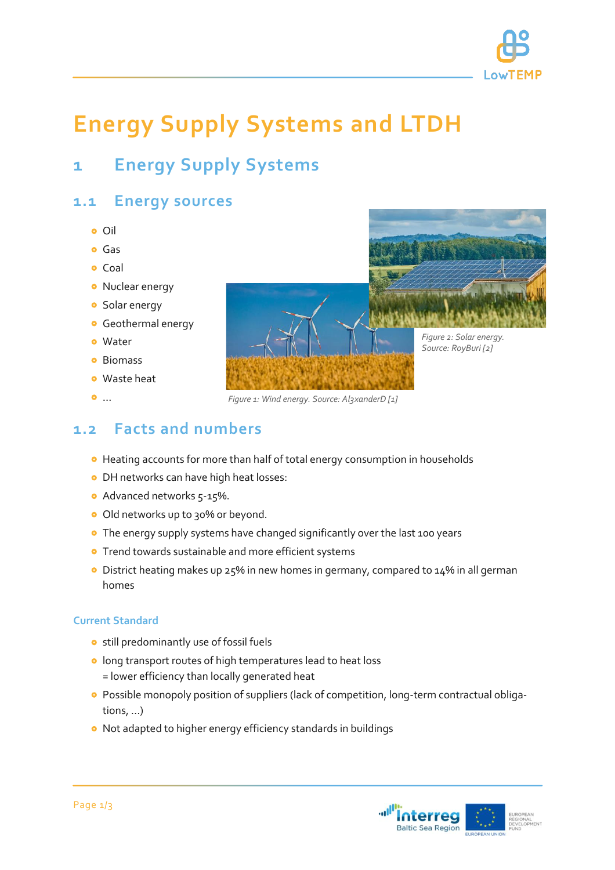

# **Energy Supply Systems and LTDH**

# **1 Energy Supply Systems**

#### **1.1 Energy sources**

- o Oil
- **o** Gas
- **o** Coal
- **•** Nuclear energy
- **o** Solar energy
- **o** Geothermal energy
- Water
- **o** Biomass
- Waste heat
- o ...

*Figure 2: Solar energy. Source: RoyBuri [2]*

*Figure 1: Wind energy. Source: Al3xanderD [1]*

#### **1.2 Facts and numbers**

- Heating accounts for more than half of total energy consumption in households
- **O** DH networks can have high heat losses:
- Advanced networks 5-15%.
- o Old networks up to 30% or beyond.
- **•** The energy supply systems have changed significantly over the last 100 years
- **•** Trend towards sustainable and more efficient systems
- District heating makes up 25% in new homes in germany, compared to 14% in all german homes

#### **Current Standard**

- **o** still predominantly use of fossil fuels
- **o** long transport routes of high temperatures lead to heat loss = lower efficiency than locally generated heat
- Possible monopoly position of suppliers (lack of competition, long-term contractual obligations, ...)
- Not adapted to higher energy efficiency standards in buildings

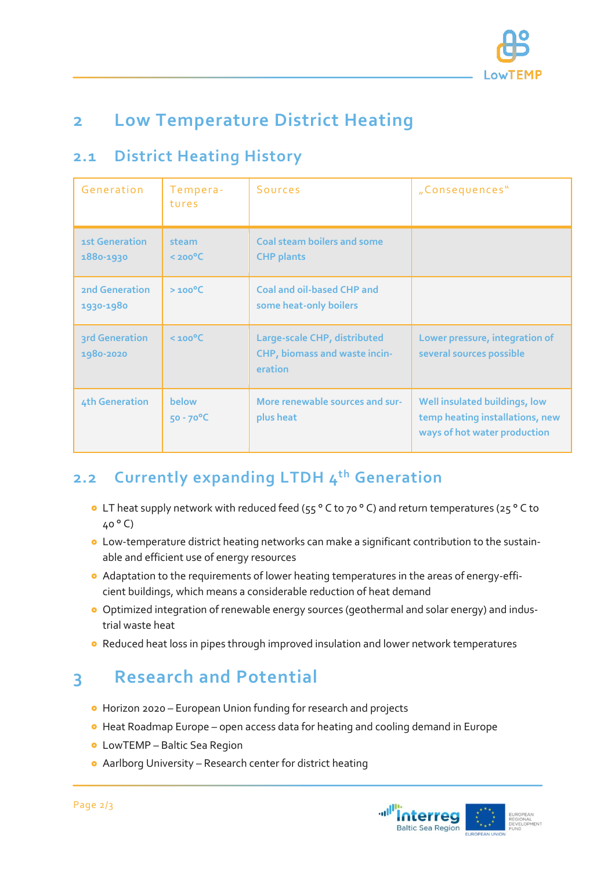

# **2 Low Temperature District Heating**

#### **2.1 District Heating History**

| Generation                         | Tempera-<br>tures             | <b>Sources</b>                                                           | "Consequences"                                                                                   |
|------------------------------------|-------------------------------|--------------------------------------------------------------------------|--------------------------------------------------------------------------------------------------|
| 1st Generation<br>1880-1930        | steam<br>$<$ 200 $^{\circ}$ C | <b>Coal steam boilers and some</b><br><b>CHP</b> plants                  |                                                                                                  |
| <b>2nd Generation</b><br>1930-1980 | $>100^{\circ}C$               | Coal and oil-based CHP and<br>some heat-only boilers                     |                                                                                                  |
| 3rd Generation<br>1980-2020        | $< 100^{\circ}$ C             | Large-scale CHP, distributed<br>CHP, biomass and waste incin-<br>eration | Lower pressure, integration of<br>several sources possible                                       |
| 4th Generation                     | below<br>$50 - 70$ °C         | More renewable sources and sur-<br>plus heat                             | Well insulated buildings, low<br>temp heating installations, new<br>ways of hot water production |

### **2.2 Currently expanding LTDH 4 th Generation**

- LT heat supply network with reduced feed (55 ° C to 70 ° C) and return temperatures (25 ° C to 40 ° C)
- Low-temperature district heating networks can make a significant contribution to the sustainable and efficient use of energy resources
- Adaptation to the requirements of lower heating temperatures in the areas of energy-efficient buildings, which means a considerable reduction of heat demand
- Optimized integration of renewable energy sources (geothermal and solar energy) and industrial waste heat
- Reduced heat loss in pipes through improved insulation and lower network temperatures

# **3 Research and Potential**

- Horizon 2020 European Union funding for research and projects
- Heat Roadmap Europe open access data for heating and cooling demand in Europe
- LowTEMP Baltic Sea Region
- Aarlborg University Research center for district heating